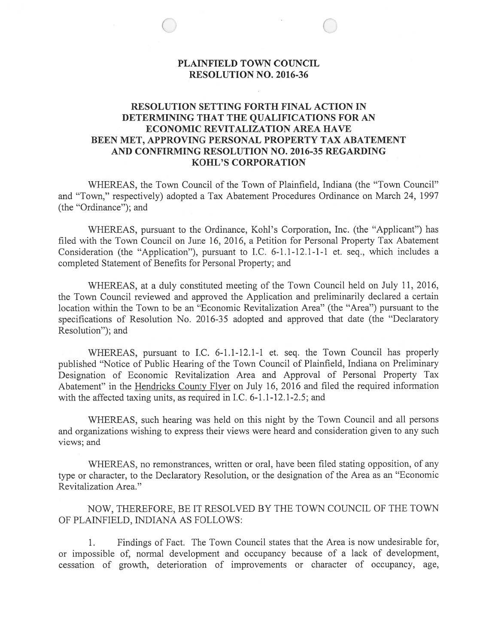# PLAINFIELD TOWN COUNCIL RESOLUTION NO. 2016-36

C a <sup>V</sup>

## RESOLUTION SETTING FORTH FINAL ACTION IN DETERMINING THAT THE QUALIFICATIONS FOR AN ECONOMIC REVITALIZATION AREA HAVE BEEN MET, APPROVING PERSONAL PROPERTY TAX ABATEMENT AND CONFIRMING RESOLUTION NO. 2016-35 REGARDING KOHL'S CORPORATION

WHEREAS, the Town Council of the Town of Plainfield, Indiana (the "Town Council" and "Town," respectively) adopted <sup>a</sup> Tax Abatement Procedures Ordinance on March 24, 1997 (the 'Ordinance"); and

WHEREAS, pursuan<sup>t</sup> to the Ordinance, Kohl's Corporation, Inc. (the "Applicant") has filed with the Town Council on June 16, 2016, <sup>a</sup> Petition for Personal Property Tax Abatement Consideration (the "Application"), pursuan<sup>t</sup> to I.C. 6-1.1-12.1-1-1 et. seq., which includes <sup>a</sup> completed Statement of Benefits for Personal Property; and

WHEREAS, at <sup>a</sup> duly constituted meeting of the Town Council held on July 11, 2016, the Town Council reviewed and approved the Application and preliminarily declared <sup>a</sup> certain location within the Town to be an "Economic Revitalization Area" (the "Area") pursuan<sup>t</sup> to the specifications of Resolution No. 2016-35 adopted and approved that date (the "Declaratory Resolution"); and

WHEREAS, pursuan<sup>t</sup> to I.C. 6-1.1-12.1-1 et. seq. the Town Council has properly published "Notice of Public Hearing of the Town Council of Plainfield, Indiana on Preliminary Designation of Economic Revitalization Area and Approval of Personal Property Tax Abatement" in the Hendricks County Flyer on July 16, 2016 and filed the required information with the affected taxing units, as required in I.C. 6-1.1-12.1-2.5; and

WHEREAS, such hearing was held on this night by the Town Council and all persons and organizations wishing to express their views were heard and consideration <sup>g</sup>iven to any such views; and

WHEREAS, no remonstrances, written or oral, have been filed stating opposition, of any type or character, to the Declaratory Resolution, or the designation of the Area as an "Economic Revitalization Area."

NOW, THEREFORE, BE IT RESOLVED BY THE TOWN COUNCIL OF THE TOWN OF PLANFIELD, INDIANA AS FOLLOWS:

1. Findings of Fact. The Town Council states that the Area is now undesirable for, or impossible of, normal development and occupancy because of <sup>a</sup> lack of development, cessation of growth, deterioration of improvements or character of occupancy, age,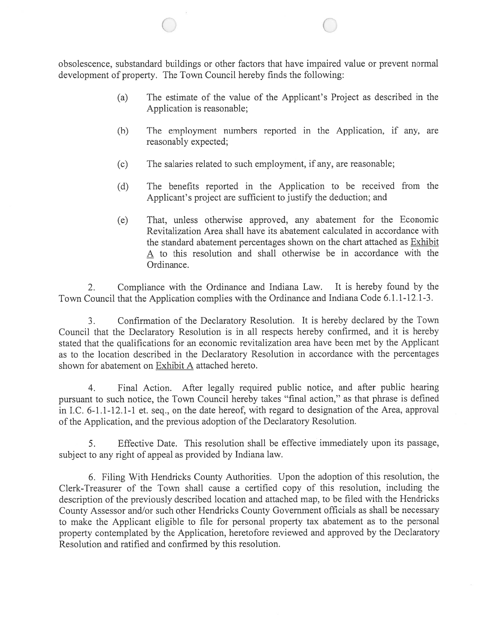obsolescence, substandard buildings or other factors that have impaired value or preven<sup>t</sup> normal development of property. The Town Council hereby finds the following:

 $\overline{\phantom{0}}$  0

- (a) The estimate of the value of the Applicant's Project as described in the Application is reasonable;
- (5) The employment numbers reported in the Application, if any, are reasonably expected;
- (c) The salaries related to such employment, if any, are reasonable;
- (d) The benefits reported in the Application to be received from the Applicant's project are sufficient to justify the deduction; and
- (e) That, unless otherwise approved, any abatement for the Economic Revitalization Area shall have its abatement calculated in accordance with the standard abatement percentages shown on the chart attached as Exhibit A to this resolution and shall otherwise be in accordance with the Ordinance.

2. Compliance with the Ordinance and Indiana Law. It is hereby found by the Town Council that the Application complies with the Ordinance and Indiana Code 6.1.1-12.1-3.

3. Confirmation of the Declaratory Resolution. It is hereby declared by the Town Council that the Declaratory Resolution is in all respects hereby confirmed, and it is hereby stated that the qualifications for an economic revitalization area have been met by the Applicant as to the location described in the Declaratory Resolution in accordance with the percentages shown for abatement on Exhibit A attached hereto.

4. Final Action. After legally required public notice, and after public hearing pursuan<sup>t</sup> to such notice, the Town Council hereby takes "final action," as that <sup>p</sup>hrase is defined in I.C. 6-1.1-12.1-1 et. seq., on the date hereof, with regard to designation of the Area, approval of the Application, and the previous adoption of the Declaratory Resolution.

5. Effective Date. This resolution shall be effective immediately upon its passage, subject to any right of appeal as provided by Indiana law.

6. Filing With Hendricks County Authorities. Upon the adoption of this resolution, the Clerk-Treasurer of the Town shall cause <sup>a</sup> certified copy of this resolution, including the description of the previously described location and attached map, to be filed with the Hendricks County Assessor and/or such other Hendricks County Government officials as shall be necessary to make the Applicant eligible to file for persona<sup>l</sup> property tax abatement as to the persona<sup>l</sup> property contemplated by the Application, heretofore reviewed and approved by the Declaratory Resolution and ratified and confirmed by this resolution.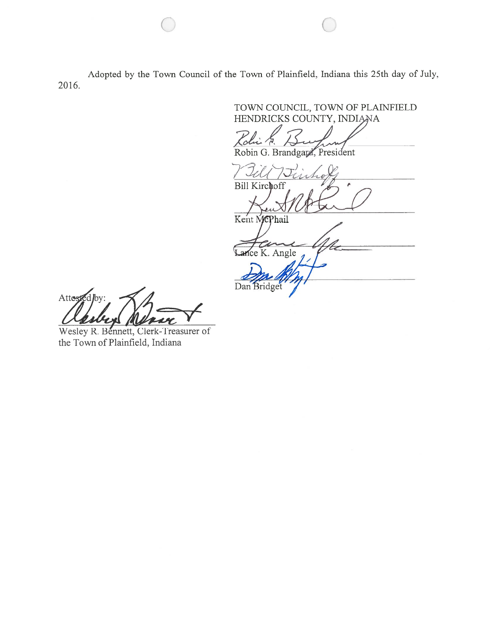Adopted by the Town Council of the Town of Plainfield, Indiana this 25th day of July, 2016.

TOWN COUNCIL, TOWN OF PLAINFIELD HENDRICKS COUNTY, INDIANA Robin G. Brandgard, President **Bill Kirchoff** Kent McPhail ice K. Angle Dan Bridget

Attested by:

Wesley R. Bennett, Clerk-Treasurer of the Town of Plainfield, Indiana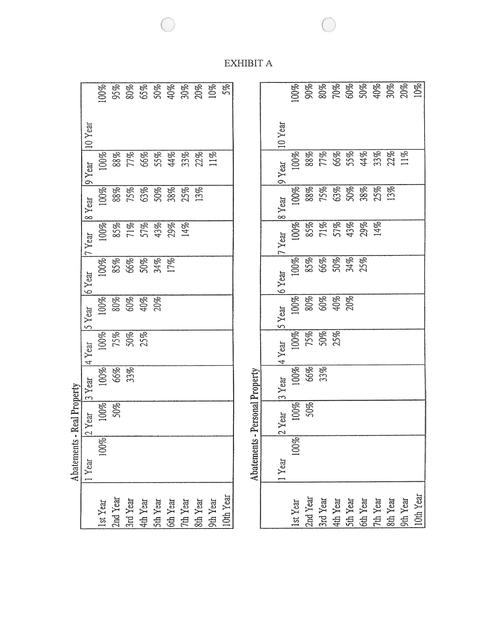|                                                                      | Abatements - Real Property       |                                      |                    |                   |                          |                                       |                                 |                                           |                                          |  |
|----------------------------------------------------------------------|----------------------------------|--------------------------------------|--------------------|-------------------|--------------------------|---------------------------------------|---------------------------------|-------------------------------------------|------------------------------------------|--|
|                                                                      | $\sqrt{1 + \gamma_{\text{car}}}$ | $2$ Year 3 Year 4 Year 5 Year 6 Year |                    |                   |                          |                                       | 17 Year                         | $8$ Year $9$ Year $10$ Year               |                                          |  |
| 1st Year                                                             | 100%                             | 100%                                 |                    | 100%              |                          |                                       | 100%                            |                                           | $00\%$                                   |  |
| 2nd Year<br>3rd Year<br>4th Year<br>5th Year<br>5th Year<br>8th Year |                                  |                                      | 100%<br>66%<br>33% | 75%<br>50%<br>25% | 00%<br>80%<br>60%<br>40% | 00%<br>85%<br>66%<br>50%<br>74%<br>7% | 85%<br>71%<br>57%<br>43%<br>14% | 00%<br>88% 88% 88% 88%<br>13% 88% 88% 88% |                                          |  |
|                                                                      |                                  |                                      |                    |                   |                          |                                       |                                 |                                           |                                          |  |
|                                                                      |                                  |                                      |                    |                   |                          |                                       |                                 |                                           |                                          |  |
|                                                                      |                                  |                                      |                    |                   |                          |                                       |                                 |                                           |                                          |  |
|                                                                      |                                  |                                      |                    |                   |                          |                                       |                                 |                                           |                                          |  |
|                                                                      |                                  |                                      |                    |                   |                          |                                       |                                 |                                           |                                          |  |
|                                                                      |                                  |                                      |                    |                   |                          |                                       |                                 |                                           | 88%<br>77% 86% 86% 86%<br>66% 86% 86% 86 |  |
|                                                                      |                                  |                                      |                    |                   |                          |                                       |                                 |                                           |                                          |  |
| 10th Year                                                            |                                  |                                      |                    |                   |                          |                                       |                                 |                                           |                                          |  |
|                                                                      |                                  |                                      |                    |                   |                          |                                       |                                 |                                           |                                          |  |

|                                                                                  | Abatements - Personal Property |          |                    |                          |                          |                                 |        |                                       |                                           |         |  |
|----------------------------------------------------------------------------------|--------------------------------|----------|--------------------|--------------------------|--------------------------|---------------------------------|--------|---------------------------------------|-------------------------------------------|---------|--|
|                                                                                  |                                |          |                    |                          |                          |                                 |        |                                       |                                           |         |  |
|                                                                                  | 1Year                          | $2$ Year | 3 Year             | 4 Year                   | 5 Year                   | $6$ Year                        | 7 Year | 8 Year                                | $9$ Year                                  | 10 Year |  |
|                                                                                  | 100%                           | .00%     |                    |                          | 00%                      | 00%                             |        | .00%                                  | 00%                                       |         |  |
| 1st Year<br>2nd Year<br>3rd Year<br>4th Year<br>5th Year<br>7th Year<br>7th Year |                                | 50%      | 100%<br>66%<br>33% | 00%<br>75%<br>50%<br>25% | 80%<br>60%<br>40%<br>20% |                                 |        | 88%<br>75% 86% 86%<br>50% 86% 86% 86% |                                           |         |  |
|                                                                                  |                                |          |                    |                          |                          |                                 |        |                                       |                                           |         |  |
|                                                                                  |                                |          |                    |                          |                          |                                 |        |                                       |                                           |         |  |
|                                                                                  |                                |          |                    |                          |                          | 85%<br>66%<br>50%<br>34%<br>25% |        |                                       | 88%<br>77% 86% 86% 86%<br>77% 86% 86% 86% |         |  |
|                                                                                  |                                |          |                    |                          |                          |                                 |        |                                       |                                           |         |  |
|                                                                                  |                                |          |                    |                          |                          |                                 |        |                                       |                                           |         |  |
|                                                                                  |                                |          |                    |                          |                          |                                 |        |                                       |                                           |         |  |
|                                                                                  |                                |          |                    |                          |                          |                                 |        |                                       |                                           |         |  |
| 10th Year                                                                        |                                |          |                    |                          |                          |                                 |        |                                       |                                           |         |  |

XHIBIT)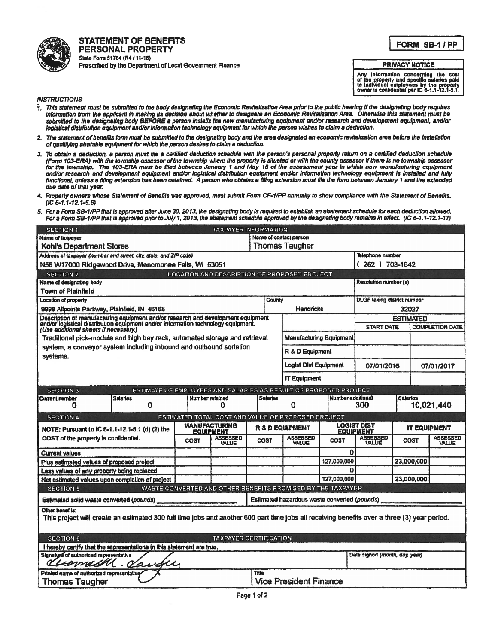

STATEMENT OF BENEFITS PERSONAL PROPERTY Slate Form 51764 (R4 / 11-15) Prescribed by the Department of Local Government Finance

## FORM SB-1/PP

#### PRIVACY NOTICE

Any Information concerning the cost<br>of the property and specific salaries paid<br>to Individual employees by the property<br>owner is confidential per IC 6-1,1-12,1-5,1.

### INSTRUCTIONS

- 1. This statement must be submitted to the body designating the Economic Revitalization Area <sup>p</sup>itotto the public hearing If the designating body requires Information from the applicant in making its decision about whether to designate an Economic Revitalization Area. Otherwise this statement must be submitted to the designating body BEFORE <sup>a</sup> person Installs the new menutacturing equipment and/or research and development equipment, and/ar logistical distribution equipment and/or information technology equipment for which the person wishes to claim a deduction.
- 2. The statement of benefits form must be submitted to the designating body and the area designated an economic revitalization area before the installation of qualifying abatable equipment for which the person desires to claim a deduction.
- 3. To obtain <sup>a</sup> deduction, <sup>a</sup> person must file <sup>a</sup> certified deduction schedule with the person's personal property return on <sup>a</sup> certified deduction schedule (Form 103-ERA) with the township assessor ofthe township where the property is situated or with the county assessor if there Is no township assessor for the township. The 703-ERA must be filed beftveen Januaty 1 end May 15 of the assessment year in which new manufacturing equipment and/ar research and development equipment end/ar logistical distribution equipment and/or information technology equipment is Installed and fully functional, unless a filing extension has been obtained. A person who obtains a filing extension must file the form between January 1 and the extended<br>due date of that year.
- 4. Property owners whose Statement of Benefits was approved, must submit Form CF-I/PP annually to show compliance with the Statement of Benefits. (1C 8.1.1-12.1-5.6)
- 5. For a Form SB-1/PP that is approved after June 30, 2013, the designating body is required to establish an abatement schedule for each deduction allowed. For a Form SB-1/PP that is approved prior to July 1, 2013, the abatement schedule approved by the designating body remains in effect. (IC 6-1.1-12.1-17)

| <b>SECTION 1</b>                                                                                                                                                                                               |                                                                                                              |  | <b>TAXPAYER INFORMATION</b>                        |                                                 |                              |                          |                                                        |                                 |                        |
|----------------------------------------------------------------------------------------------------------------------------------------------------------------------------------------------------------------|--------------------------------------------------------------------------------------------------------------|--|----------------------------------------------------|-------------------------------------------------|------------------------------|--------------------------|--------------------------------------------------------|---------------------------------|------------------------|
| <b>Name of taxpayer</b>                                                                                                                                                                                        |                                                                                                              |  |                                                    | Name of contact person<br><b>Thomas Taugher</b> |                              |                          |                                                        |                                 |                        |
| Kohl's Department Stores                                                                                                                                                                                       |                                                                                                              |  |                                                    |                                                 |                              |                          |                                                        |                                 |                        |
| Address of taxpayer (number and street, city, state, and ZIP code)                                                                                                                                             |                                                                                                              |  |                                                    |                                                 |                              |                          | Telephone number                                       |                                 |                        |
| N56 W17000 Ridgewood Drive, Menomonee Falls, WI 53051                                                                                                                                                          |                                                                                                              |  |                                                    |                                                 |                              |                          | 262 ) 703-1642                                         |                                 |                        |
| SECTION 2                                                                                                                                                                                                      |                                                                                                              |  | LOCATION AND DESCRIPTION OF PROPOSED PROJECT       |                                                 |                              |                          |                                                        |                                 |                        |
| Name of designating body                                                                                                                                                                                       |                                                                                                              |  |                                                    |                                                 |                              |                          | Resolution number (s)                                  |                                 |                        |
| Town of Plainfield                                                                                                                                                                                             |                                                                                                              |  |                                                    |                                                 |                              |                          |                                                        |                                 |                        |
| Location of property                                                                                                                                                                                           |                                                                                                              |  |                                                    | County                                          |                              |                          | DLGF taxing district number                            |                                 |                        |
| 9998 Allpoints Parkway, Plainfield, IN 46168                                                                                                                                                                   |                                                                                                              |  |                                                    |                                                 | <b>Hendricks</b>             |                          |                                                        | 32027                           |                        |
|                                                                                                                                                                                                                |                                                                                                              |  |                                                    |                                                 |                              |                          |                                                        | <b>ESTIMATED</b>                |                        |
| Description of manufacturing equipment and/or research and development equipment<br>and/or logistical distribution equipment and/or information technology equipment.<br>(Use additional sheets if necessary.) |                                                                                                              |  |                                                    |                                                 |                              |                          | <b>START DATE</b>                                      |                                 | <b>COMPLETION DATE</b> |
|                                                                                                                                                                                                                | Traditional pick-module and high bay rack, automated storage and retrieval<br><b>Manufacturing Equipment</b> |  |                                                    |                                                 |                              |                          |                                                        |                                 |                        |
| system, a conveyor system including inbound and outbound sortation<br>R & D Equipment<br>systems.                                                                                                              |                                                                                                              |  |                                                    |                                                 |                              |                          |                                                        |                                 |                        |
|                                                                                                                                                                                                                |                                                                                                              |  |                                                    |                                                 | <b>Loalst Dist Equipment</b> |                          | 07/01/2016                                             |                                 | 07/01/2017             |
|                                                                                                                                                                                                                |                                                                                                              |  |                                                    |                                                 | <b>IT Equipment</b>          |                          |                                                        |                                 |                        |
|                                                                                                                                                                                                                |                                                                                                              |  |                                                    |                                                 |                              |                          |                                                        |                                 |                        |
| <b>SECTION 3</b>                                                                                                                                                                                               | ESTIMATE OF EMPLOYEES AND SALARIES AS RESULT OF PROPOSED PROJECT                                             |  |                                                    |                                                 |                              |                          |                                                        |                                 |                        |
| Current number<br>Ω                                                                                                                                                                                            | <b>Salaries</b><br>0                                                                                         |  | Number retained<br>0                               | <b>Salaries</b>                                 | 0                            | Number additional        | 300                                                    | <b>Salaries</b><br>10,021,440   |                        |
| <b>SECTION 4</b>                                                                                                                                                                                               |                                                                                                              |  | ESTIMATED TOTAL COST AND VALUE OF PROPOSED PROJECT |                                                 |                              |                          |                                                        |                                 |                        |
| NOTE: Pursuant to IC 8-1.1-12.1-5.1 (d) (2) the                                                                                                                                                                |                                                                                                              |  | <b>MANUFACTURING</b><br><b>EQUIPMENT</b>           | <b>R &amp; D EQUIPMENT</b>                      |                              |                          | LOGIST DIST<br><b>IT EQUIPMENT</b><br><b>EQUIPMENT</b> |                                 |                        |
| <b>ASSESSED</b><br>COST of the property is confidential.<br><b>COST</b><br>VALUE                                                                                                                               |                                                                                                              |  | <b>COST</b>                                        | <b>ASSESSED</b><br>VALUE                        | COST                         | <b>ASSESSED</b><br>VALUE | <b>COST</b>                                            | <b>ASSESSED</b><br><b>VALUE</b> |                        |
| <b>Current values</b>                                                                                                                                                                                          |                                                                                                              |  |                                                    |                                                 |                              | ٥                        |                                                        |                                 |                        |
| Plus estimated values of proposed project                                                                                                                                                                      |                                                                                                              |  |                                                    |                                                 | 127,000,000                  |                          | 23,000,000                                             |                                 |                        |
| Less values of any property being replaced                                                                                                                                                                     |                                                                                                              |  |                                                    |                                                 | Ω                            |                          |                                                        |                                 |                        |
| Net estimated values upon completion of project                                                                                                                                                                |                                                                                                              |  |                                                    |                                                 |                              | 127,000,000              |                                                        | 23,000,000                      |                        |
| WASTE CONVERTED AND OTHER BENEFITS PROMISED BY THE TAXPAYER<br><b>SECTION 5</b>                                                                                                                                |                                                                                                              |  |                                                    |                                                 |                              |                          |                                                        |                                 |                        |
| Estimated hazardous waste converted (pounds)<br>Estimated solid waste converted (pounds)                                                                                                                       |                                                                                                              |  |                                                    |                                                 |                              |                          |                                                        |                                 |                        |
| Other benefits:                                                                                                                                                                                                |                                                                                                              |  |                                                    |                                                 |                              |                          |                                                        |                                 |                        |
| This project will create an estimated 300 full time jobs and another 600 part time jobs all receiving benefits over a three (3) year period.                                                                   |                                                                                                              |  |                                                    |                                                 |                              |                          |                                                        |                                 |                        |
| <b>SECTION 6</b>                                                                                                                                                                                               |                                                                                                              |  | <b>TAXPAYER CERTIFICATION</b>                      |                                                 |                              |                          |                                                        |                                 |                        |
| I hereby certify that the representations in this statement are true.                                                                                                                                          |                                                                                                              |  |                                                    |                                                 |                              |                          |                                                        |                                 |                        |
| Signature of authorized representative<br>ernam                                                                                                                                                                | $\overline{\mathcal{U}}$                                                                                     |  |                                                    |                                                 |                              |                          | Date signed (month, day, year)                         |                                 |                        |
|                                                                                                                                                                                                                |                                                                                                              |  |                                                    |                                                 |                              |                          |                                                        |                                 |                        |
| Printed name of authorized representative<br>Title<br><b>Vice President Finance</b><br><b>Thomas Taugher</b>                                                                                                   |                                                                                                              |  |                                                    |                                                 |                              |                          |                                                        |                                 |                        |